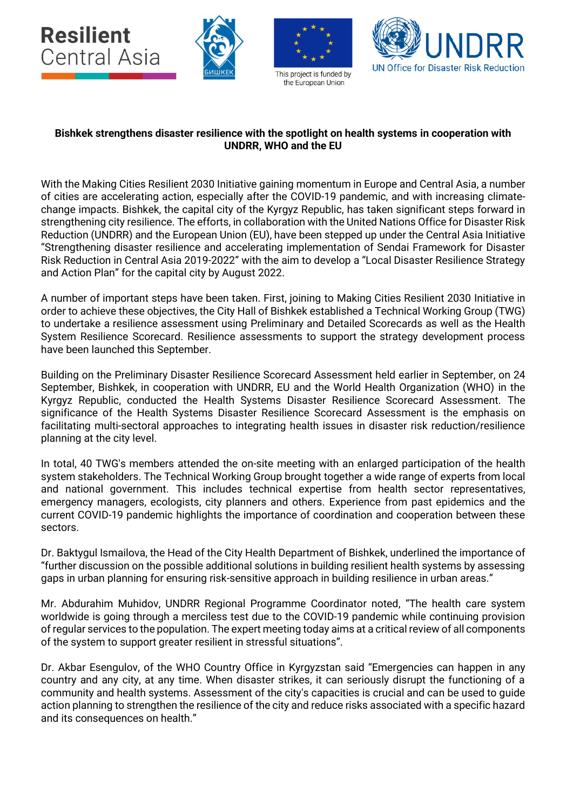

## **Bishkek strengthens disaster resilience with the spotlight on health systems in cooperation with UNDRR, WHO and the EU**

With the Making Cities Resilient 2030 Initiative gaining momentum in Europe and Central Asia, a number of cities are accelerating action, especially after the COVID-19 pandemic, and with increasing climatechange impacts. Bishkek, the capital city of the Kyrgyz Republic, has taken significant steps forward in strengthening city resilience. The efforts, in collaboration with the United Nations Office for Disaster Risk Reduction (UNDRR) and the European Union (EU), have been stepped up under the Central Asia Initiative "Strengthening disaster resilience and accelerating implementation of Sendai Framework for Disaster Risk Reduction in Central Asia 2019-2022" with the aim to develop a "Local Disaster Resilience Strategy and Action Plan" for the capital city by August 2022.

A number of important steps have been taken. First, joining to Making Cities Resilient 2030 Initiative in order to achieve these objectives, the City Hall of Bishkek established a Technical Working Group (TWG) to undertake a resilience assessment using Preliminary and Detailed Scorecards as well as the Health System Resilience Scorecard. Resilience assessments to support the strategy development process have been launched this September.

Building on the Preliminary Disaster Resilience Scorecard Assessment held earlier in September, on 24 September, Bishkek, in cooperation with UNDRR, EU and the World Health Organization (WHO) in the Kyrgyz Republic, conducted the Health Systems Disaster Resilience Scorecard Assessment. The significance of the Health Systems Disaster Resilience Scorecard Assessment is the emphasis on facilitating multi-sectoral approaches to integrating health issues in disaster risk reduction/resilience planning at the city level.

In total, 40 TWG's members attended the on-site meeting with an enlarged participation of the health system stakeholders. The Technical Working Group brought together a wide range of experts from local and national government. This includes technical expertise from health sector representatives, emergency managers, ecologists, city planners and others. Experience from past epidemics and the current COVID-19 pandemic highlights the importance of coordination and cooperation between these sectors.

Dr. Baktygul Ismailova, the Head of the City Health Department of Bishkek, underlined the importance of "further discussion on the possible additional solutions in building resilient health systems by assessing gaps in urban planning for ensuring risk-sensitive approach in building resilience in urban areas."

Mr. Abdurahim Muhidov, UNDRR Regional Programme Coordinator noted, "The health care system worldwide is going through a merciless test due to the COVID-19 pandemic while continuing provision of regular services to the population. The expert meeting today aims at a critical review of all components of the system to support greater resilient in stressful situations".

Dr. Akbar Esengulov, of the WHO Country Office in Kyrgyzstan said "Emergencies can happen in any country and any city, at any time. When disaster strikes, it can seriously disrupt the functioning of a community and health systems. Assessment of the city's capacities is crucial and can be used to guide action planning to strengthen the resilience of the city and reduce risks associated with a specific hazard and its consequences on health."